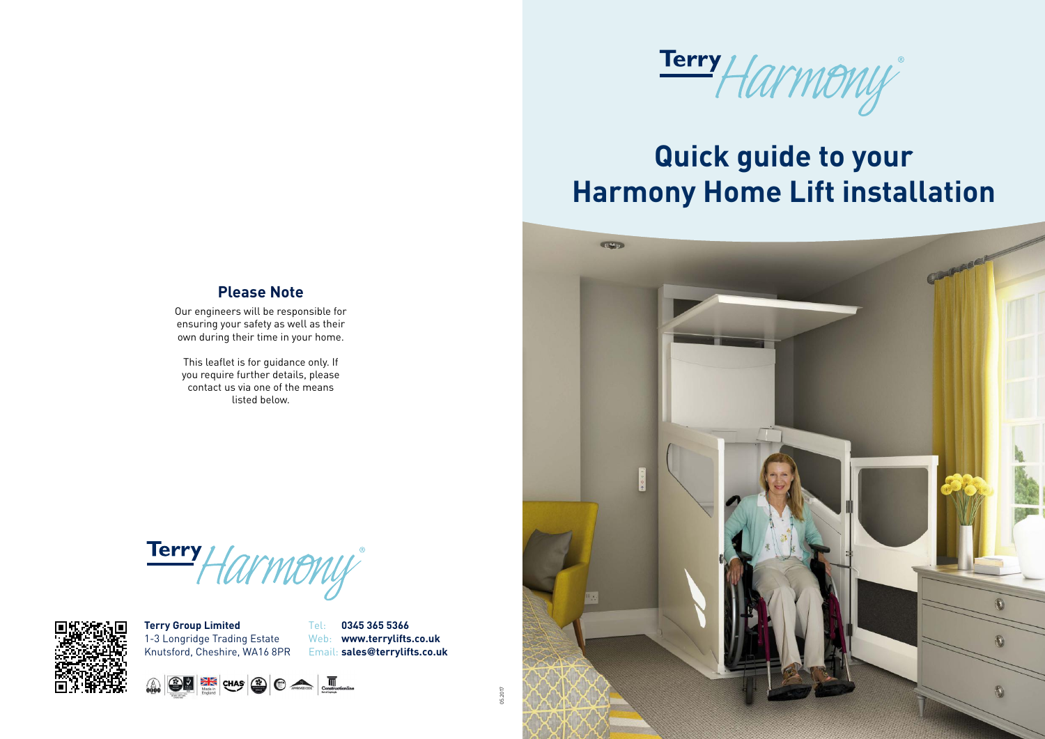

# **Quick guide to your Harmony Home Lift installation**



#### **Please Note**

Our engineers will be responsible for ensuring your safety as well as their own during their time in your home.

This leaflet is for guidance only. If you require further details, please contact us via one of the means listed below.

Terry Harmony



05.2017

**Terry Group Limited** 1-3 Longridge Trading Estate Knutsford, Cheshire, WA16 8PR Tel: **0345 365 5366** Web: **www.terrylifts.co.uk** Email: **sales@terrylifts.co.uk**